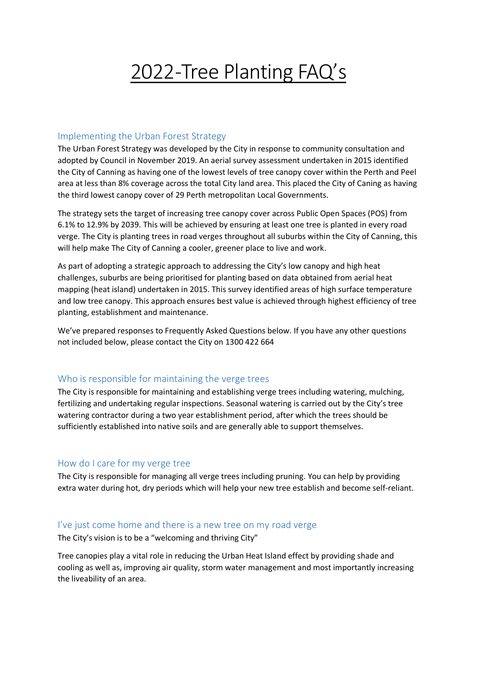# 2022-Tree Planting FAQ's

#### Implementing the Urban Forest Strategy

The Urban Forest Strategy was developed by the City in response to community consultation and adopted by Council in November 2019. An aerial survey assessment undertaken in 2015 identified the City of Canning as having one of the lowest levels of tree canopy cover within the Perth and Peel area at less than 8% coverage across the total City land area. This placed the City of Caning as having the third lowest canopy cover of 29 Perth metropolitan Local Governments.

The strategy sets the target of increasing tree canopy cover across Public Open Spaces (POS) from 6.1% to 12.9% by 2039. This will be achieved by ensuring at least one tree is planted in every road verge. The City is planting trees in road verges throughout all suburbs within the City of Canning, this will help make The City of Canning a cooler, greener place to live and work.

As part of adopting a strategic approach to addressing the City's low canopy and high heat challenges, suburbs are being prioritised for planting based on data obtained from aerial heat mapping (heat island) undertaken in 2015. This survey identified areas of high surface temperature and low tree canopy. This approach ensures best value is achieved through highest efficiency of tree planting, establishment and maintenance.

We've prepared responses to Frequently Asked Questions below. If you have any other questions not included below, please contact the City on 1300 422 664

## Who is responsible for maintaining the verge trees

The City is responsible for maintaining and establishing verge trees including watering, mulching, fertilizing and undertaking regular inspections. Seasonal watering is carried out by the City's tree watering contractor during a two year establishment period, after which the trees should be sufficiently established into native soils and are generally able to support themselves.

#### How do I care for my verge tree

The City is responsible for managing all verge trees including pruning. You can help by providing extra water during hot, dry periods which will help your new tree establish and become self-reliant.

#### I've just come home and there is a new tree on my road verge

The City's vision is to be a "welcoming and thriving City"

Tree canopies play a vital role in reducing the Urban Heat Island effect by providing shade and cooling as well as, improving air quality, storm water management and most importantly increasing the liveability of an area.